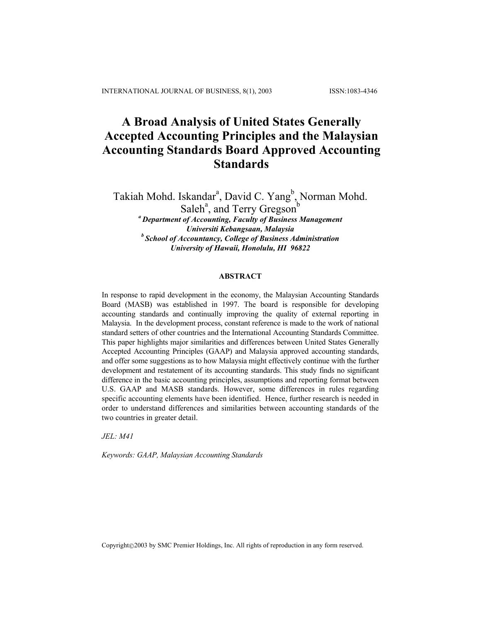# **A Broad Analysis of United States Generally Accepted Accounting Principles and the Malaysian Accounting Standards Board Approved Accounting Standards**

Takiah Mohd. Iskandar<sup>a</sup>, David C. Yang<sup>b</sup>, Norman Mohd. Saleh<sup>a</sup>, and Terry Gregson<sup>b</sup> *a Department of Accounting, Faculty of Business Management Universiti Kebangsaan, Malaysia b School of Accountancy, College of Business Administration University of Hawaii, Honolulu, HI 96822* 

# **ABSTRACT**

In response to rapid development in the economy, the Malaysian Accounting Standards Board (MASB) was established in 1997. The board is responsible for developing accounting standards and continually improving the quality of external reporting in Malaysia. In the development process, constant reference is made to the work of national standard setters of other countries and the International Accounting Standards Committee. This paper highlights major similarities and differences between United States Generally Accepted Accounting Principles (GAAP) and Malaysia approved accounting standards, and offer some suggestions as to how Malaysia might effectively continue with the further development and restatement of its accounting standards. This study finds no significant difference in the basic accounting principles, assumptions and reporting format between U.S. GAAP and MASB standards. However, some differences in rules regarding specific accounting elements have been identified. Hence, further research is needed in order to understand differences and similarities between accounting standards of the two countries in greater detail.

*JEL: M41* 

*Keywords: GAAP, Malaysian Accounting Standards* 

Copyright©2003 by SMC Premier Holdings, Inc. All rights of reproduction in any form reserved.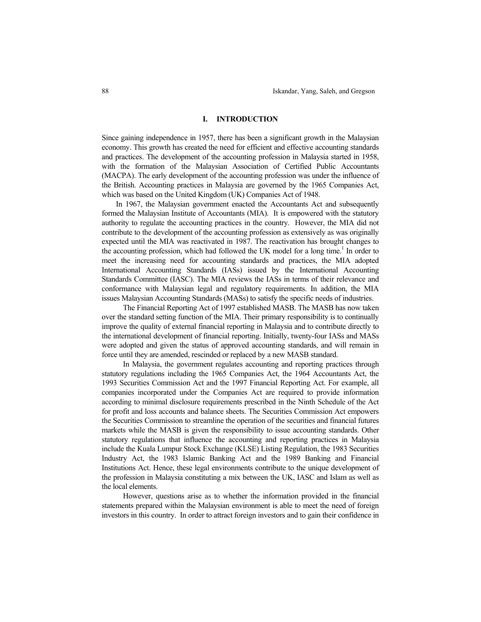#### **I. INTRODUCTION**

Since gaining independence in 1957, there has been a significant growth in the Malaysian economy. This growth has created the need for efficient and effective accounting standards and practices. The development of the accounting profession in Malaysia started in 1958, with the formation of the Malaysian Association of Certified Public Accountants (MACPA). The early development of the accounting profession was under the influence of the British. Accounting practices in Malaysia are governed by the 1965 Companies Act, which was based on the United Kingdom (UK) Companies Act of 1948.

In 1967, the Malaysian government enacted the Accountants Act and subsequently formed the Malaysian Institute of Accountants (MIA). It is empowered with the statutory authority to regulate the accounting practices in the country. However, the MIA did not contribute to the development of the accounting profession as extensively as was originally expected until the MIA was reactivated in 1987. The reactivation has brought changes to the accounting profession, which had followed the UK model for a long time.<sup>1</sup> In order to meet the increasing need for accounting standards and practices, the MIA adopted International Accounting Standards (IASs) issued by the International Accounting Standards Committee (IASC). The MIA reviews the IASs in terms of their relevance and conformance with Malaysian legal and regulatory requirements. In addition, the MIA issues Malaysian Accounting Standards (MASs) to satisfy the specific needs of industries.

The Financial Reporting Act of 1997 established MASB. The MASB has now taken over the standard setting function of the MIA. Their primary responsibility is to continually improve the quality of external financial reporting in Malaysia and to contribute directly to the international development of financial reporting. Initially, twenty-four IASs and MASs were adopted and given the status of approved accounting standards, and will remain in force until they are amended, rescinded or replaced by a new MASB standard.

In Malaysia, the government regulates accounting and reporting practices through statutory regulations including the 1965 Companies Act, the 1964 Accountants Act, the 1993 Securities Commission Act and the 1997 Financial Reporting Act. For example, all companies incorporated under the Companies Act are required to provide information according to minimal disclosure requirements prescribed in the Ninth Schedule of the Act for profit and loss accounts and balance sheets. The Securities Commission Act empowers the Securities Commission to streamline the operation of the securities and financial futures markets while the MASB is given the responsibility to issue accounting standards. Other statutory regulations that influence the accounting and reporting practices in Malaysia include the Kuala Lumpur Stock Exchange (KLSE) Listing Regulation, the 1983 Securities Industry Act, the 1983 Islamic Banking Act and the 1989 Banking and Financial Institutions Act. Hence, these legal environments contribute to the unique development of the profession in Malaysia constituting a mix between the UK, IASC and Islam as well as the local elements.

However, questions arise as to whether the information provided in the financial statements prepared within the Malaysian environment is able to meet the need of foreign investors in this country. In order to attract foreign investors and to gain their confidence in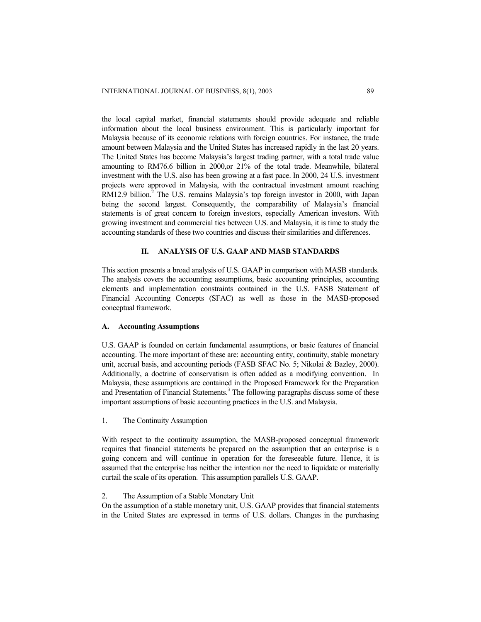the local capital market, financial statements should provide adequate and reliable information about the local business environment. This is particularly important for Malaysia because of its economic relations with foreign countries. For instance, the trade amount between Malaysia and the United States has increased rapidly in the last 20 years. The United States has become Malaysia's largest trading partner, with a total trade value amounting to RM76.6 billion in 2000,or 21% of the total trade. Meanwhile, bilateral investment with the U.S. also has been growing at a fast pace. In 2000, 24 U.S. investment projects were approved in Malaysia, with the contractual investment amount reaching  $RM12.9$  billion.<sup>2</sup> The U.S. remains Malaysia's top foreign investor in 2000, with Japan being the second largest. Consequently, the comparability of Malaysia's financial statements is of great concern to foreign investors, especially American investors. With growing investment and commercial ties between U.S. and Malaysia, it is time to study the accounting standards of these two countries and discuss their similarities and differences.

# **II. ANALYSIS OF U.S. GAAP AND MASB STANDARDS**

This section presents a broad analysis of U.S. GAAP in comparison with MASB standards. The analysis covers the accounting assumptions, basic accounting principles, accounting elements and implementation constraints contained in the U.S. FASB Statement of Financial Accounting Concepts (SFAC) as well as those in the MASB-proposed conceptual framework.

# **A. Accounting Assumptions**

U.S. GAAP is founded on certain fundamental assumptions, or basic features of financial accounting. The more important of these are: accounting entity, continuity, stable monetary unit, accrual basis, and accounting periods (FASB SFAC No. 5; Nikolai & Bazley, 2000). Additionally, a doctrine of conservatism is often added as a modifying convention. In Malaysia, these assumptions are contained in the Proposed Framework for the Preparation and Presentation of Financial Statements.<sup>3</sup> The following paragraphs discuss some of these important assumptions of basic accounting practices in the U.S. and Malaysia.

1. The Continuity Assumption

With respect to the continuity assumption, the MASB-proposed conceptual framework requires that financial statements be prepared on the assumption that an enterprise is a going concern and will continue in operation for the foreseeable future. Hence, it is assumed that the enterprise has neither the intention nor the need to liquidate or materially curtail the scale of its operation. This assumption parallels U.S. GAAP.

# 2. The Assumption of a Stable Monetary Unit

On the assumption of a stable monetary unit, U.S. GAAP provides that financial statements in the United States are expressed in terms of U.S. dollars. Changes in the purchasing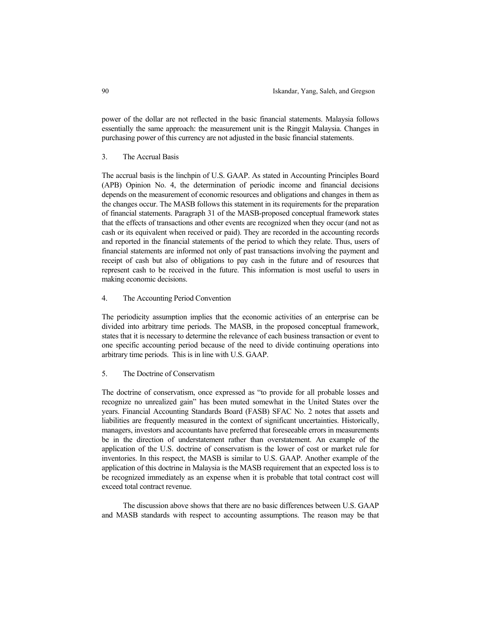power of the dollar are not reflected in the basic financial statements. Malaysia follows essentially the same approach: the measurement unit is the Ringgit Malaysia. Changes in purchasing power of this currency are not adjusted in the basic financial statements.

# 3. The Accrual Basis

The accrual basis is the linchpin of U.S. GAAP. As stated in Accounting Principles Board (APB) Opinion No. 4, the determination of periodic income and financial decisions depends on the measurement of economic resources and obligations and changes in them as the changes occur. The MASB follows this statement in its requirements for the preparation of financial statements. Paragraph 31 of the MASB-proposed conceptual framework states that the effects of transactions and other events are recognized when they occur (and not as cash or its equivalent when received or paid). They are recorded in the accounting records and reported in the financial statements of the period to which they relate. Thus, users of financial statements are informed not only of past transactions involving the payment and receipt of cash but also of obligations to pay cash in the future and of resources that represent cash to be received in the future. This information is most useful to users in making economic decisions.

## 4. The Accounting Period Convention

The periodicity assumption implies that the economic activities of an enterprise can be divided into arbitrary time periods. The MASB, in the proposed conceptual framework, states that it is necessary to determine the relevance of each business transaction or event to one specific accounting period because of the need to divide continuing operations into arbitrary time periods. This is in line with U.S. GAAP.

# 5. The Doctrine of Conservatism

The doctrine of conservatism, once expressed as "to provide for all probable losses and recognize no unrealized gain" has been muted somewhat in the United States over the years. Financial Accounting Standards Board (FASB) SFAC No. 2 notes that assets and liabilities are frequently measured in the context of significant uncertainties. Historically, managers, investors and accountants have preferred that foreseeable errors in measurements be in the direction of understatement rather than overstatement. An example of the application of the U.S. doctrine of conservatism is the lower of cost or market rule for inventories. In this respect, the MASB is similar to U.S. GAAP. Another example of the application of this doctrine in Malaysia is the MASB requirement that an expected loss is to be recognized immediately as an expense when it is probable that total contract cost will exceed total contract revenue.

The discussion above shows that there are no basic differences between U.S. GAAP and MASB standards with respect to accounting assumptions. The reason may be that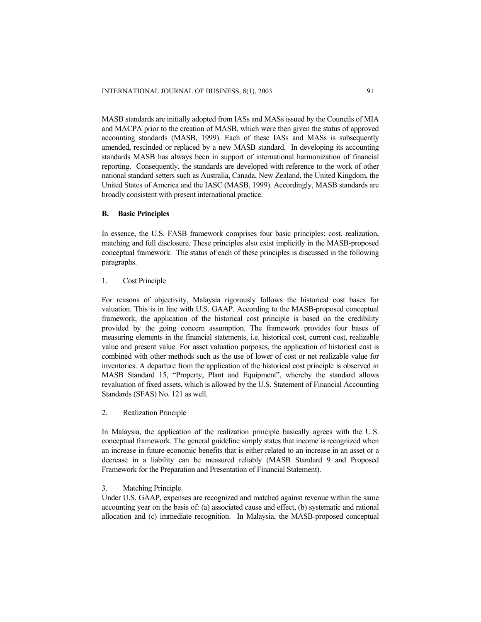MASB standards are initially adopted from IASs and MASs issued by the Councils of MIA and MACPA prior to the creation of MASB, which were then given the status of approved accounting standards (MASB, 1999). Each of these IASs and MASs is subsequently amended, rescinded or replaced by a new MASB standard. In developing its accounting standards MASB has always been in support of international harmonization of financial reporting. Consequently, the standards are developed with reference to the work of other national standard setters such as Australia, Canada, New Zealand, the United Kingdom, the United States of America and the IASC (MASB, 1999). Accordingly, MASB standards are broadly consistent with present international practice.

## **B. Basic Principles**

In essence, the U.S. FASB framework comprises four basic principles: cost, realization, matching and full disclosure. These principles also exist implicitly in the MASB-proposed conceptual framework. The status of each of these principles is discussed in the following paragraphs.

# 1. Cost Principle

For reasons of objectivity, Malaysia rigorously follows the historical cost bases for valuation. This is in line with U.S. GAAP. According to the MASB-proposed conceptual framework, the application of the historical cost principle is based on the credibility provided by the going concern assumption. The framework provides four bases of measuring elements in the financial statements, i.e. historical cost, current cost, realizable value and present value. For asset valuation purposes, the application of historical cost is combined with other methods such as the use of lower of cost or net realizable value for inventories. A departure from the application of the historical cost principle is observed in MASB Standard 15, "Property, Plant and Equipment", whereby the standard allows revaluation of fixed assets, which is allowed by the U.S. Statement of Financial Accounting Standards (SFAS) No. 121 as well.

2. Realization Principle

In Malaysia, the application of the realization principle basically agrees with the U.S. conceptual framework. The general guideline simply states that income is recognized when an increase in future economic benefits that is either related to an increase in an asset or a decrease in a liability can be measured reliably (MASB Standard 9 and Proposed Framework for the Preparation and Presentation of Financial Statement).

## 3. Matching Principle

Under U.S. GAAP, expenses are recognized and matched against revenue within the same accounting year on the basis of: (a) associated cause and effect, (b) systematic and rational allocation and (c) immediate recognition. In Malaysia, the MASB-proposed conceptual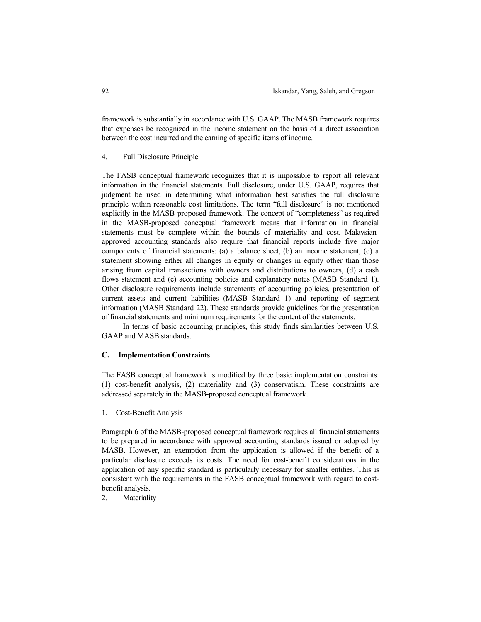framework is substantially in accordance with U.S. GAAP. The MASB framework requires that expenses be recognized in the income statement on the basis of a direct association between the cost incurred and the earning of specific items of income.

## 4. Full Disclosure Principle

The FASB conceptual framework recognizes that it is impossible to report all relevant information in the financial statements. Full disclosure, under U.S. GAAP, requires that judgment be used in determining what information best satisfies the full disclosure principle within reasonable cost limitations. The term "full disclosure" is not mentioned explicitly in the MASB-proposed framework. The concept of "completeness" as required in the MASB-proposed conceptual framework means that information in financial statements must be complete within the bounds of materiality and cost. Malaysianapproved accounting standards also require that financial reports include five major components of financial statements: (a) a balance sheet, (b) an income statement, (c) a statement showing either all changes in equity or changes in equity other than those arising from capital transactions with owners and distributions to owners, (d) a cash flows statement and (e) accounting policies and explanatory notes (MASB Standard 1). Other disclosure requirements include statements of accounting policies, presentation of current assets and current liabilities (MASB Standard 1) and reporting of segment information (MASB Standard 22). These standards provide guidelines for the presentation of financial statements and minimum requirements for the content of the statements.

 In terms of basic accounting principles, this study finds similarities between U.S. GAAP and MASB standards.

#### **C. Implementation Constraints**

The FASB conceptual framework is modified by three basic implementation constraints: (1) cost-benefit analysis, (2) materiality and (3) conservatism. These constraints are addressed separately in the MASB-proposed conceptual framework.

1. Cost-Benefit Analysis

Paragraph 6 of the MASB-proposed conceptual framework requires all financial statements to be prepared in accordance with approved accounting standards issued or adopted by MASB. However, an exemption from the application is allowed if the benefit of a particular disclosure exceeds its costs. The need for cost-benefit considerations in the application of any specific standard is particularly necessary for smaller entities. This is consistent with the requirements in the FASB conceptual framework with regard to costbenefit analysis.

2. Materiality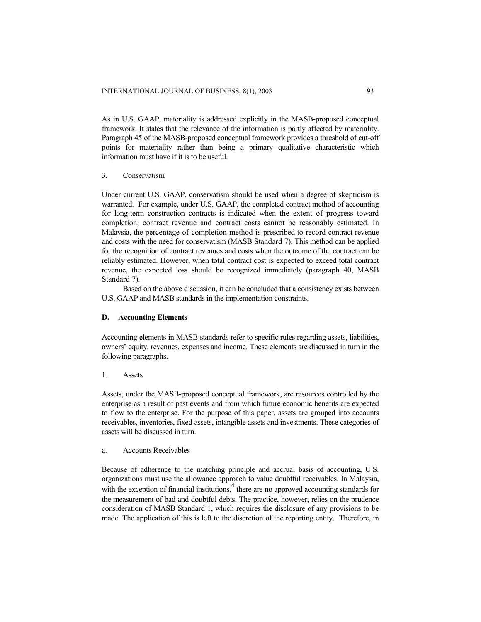As in U.S. GAAP, materiality is addressed explicitly in the MASB-proposed conceptual framework. It states that the relevance of the information is partly affected by materiality. Paragraph 45 of the MASB-proposed conceptual framework provides a threshold of cut-off points for materiality rather than being a primary qualitative characteristic which information must have if it is to be useful.

# 3. Conservatism

Under current U.S. GAAP, conservatism should be used when a degree of skepticism is warranted. For example, under U.S. GAAP, the completed contract method of accounting for long-term construction contracts is indicated when the extent of progress toward completion, contract revenue and contract costs cannot be reasonably estimated. In Malaysia, the percentage-of-completion method is prescribed to record contract revenue and costs with the need for conservatism (MASB Standard 7). This method can be applied for the recognition of contract revenues and costs when the outcome of the contract can be reliably estimated. However, when total contract cost is expected to exceed total contract revenue, the expected loss should be recognized immediately (paragraph 40, MASB Standard 7).

Based on the above discussion, it can be concluded that a consistency exists between U.S. GAAP and MASB standards in the implementation constraints.

# **D. Accounting Elements**

Accounting elements in MASB standards refer to specific rules regarding assets, liabilities, owners' equity, revenues, expenses and income. These elements are discussed in turn in the following paragraphs.

#### 1. Assets

Assets, under the MASB-proposed conceptual framework, are resources controlled by the enterprise as a result of past events and from which future economic benefits are expected to flow to the enterprise. For the purpose of this paper, assets are grouped into accounts receivables, inventories, fixed assets, intangible assets and investments. These categories of assets will be discussed in turn.

#### a. Accounts Receivables

Because of adherence to the matching principle and accrual basis of accounting, U.S. organizations must use the allowance approach to value doubtful receivables. In Malaysia, with the exception of financial institutions,  $\frac{4}{3}$  there are no approved accounting standards for the measurement of bad and doubtful debts. The practice, however, relies on the prudence consideration of MASB Standard 1, which requires the disclosure of any provisions to be made. The application of this is left to the discretion of the reporting entity. Therefore, in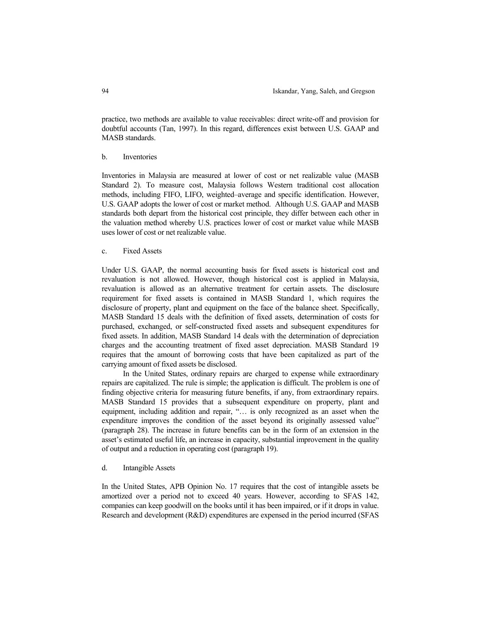practice, two methods are available to value receivables: direct write-off and provision for doubtful accounts (Tan, 1997). In this regard, differences exist between U.S. GAAP and MASB standards.

#### b. Inventories

Inventories in Malaysia are measured at lower of cost or net realizable value (MASB Standard 2). To measure cost, Malaysia follows Western traditional cost allocation methods, including FIFO, LIFO, weighted–average and specific identification. However, U.S. GAAP adopts the lower of cost or market method. Although U.S. GAAP and MASB standards both depart from the historical cost principle, they differ between each other in the valuation method whereby U.S. practices lower of cost or market value while MASB uses lower of cost or net realizable value.

# c. Fixed Assets

Under U.S. GAAP, the normal accounting basis for fixed assets is historical cost and revaluation is not allowed. However, though historical cost is applied in Malaysia, revaluation is allowed as an alternative treatment for certain assets. The disclosure requirement for fixed assets is contained in MASB Standard 1, which requires the disclosure of property, plant and equipment on the face of the balance sheet. Specifically, MASB Standard 15 deals with the definition of fixed assets, determination of costs for purchased, exchanged, or self-constructed fixed assets and subsequent expenditures for fixed assets. In addition, MASB Standard 14 deals with the determination of depreciation charges and the accounting treatment of fixed asset depreciation. MASB Standard 19 requires that the amount of borrowing costs that have been capitalized as part of the carrying amount of fixed assets be disclosed.

 In the United States, ordinary repairs are charged to expense while extraordinary repairs are capitalized. The rule is simple; the application is difficult. The problem is one of finding objective criteria for measuring future benefits, if any, from extraordinary repairs. MASB Standard 15 provides that a subsequent expenditure on property, plant and equipment, including addition and repair, "… is only recognized as an asset when the expenditure improves the condition of the asset beyond its originally assessed value" (paragraph 28). The increase in future benefits can be in the form of an extension in the asset's estimated useful life, an increase in capacity, substantial improvement in the quality of output and a reduction in operating cost (paragraph 19).

#### d. Intangible Assets

In the United States, APB Opinion No. 17 requires that the cost of intangible assets be amortized over a period not to exceed 40 years. However, according to SFAS 142, companies can keep goodwill on the books until it has been impaired, or if it drops in value. Research and development (R&D) expenditures are expensed in the period incurred (SFAS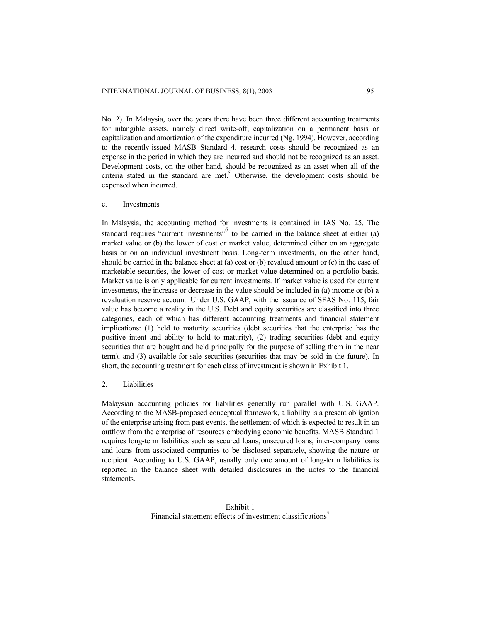No. 2). In Malaysia, over the years there have been three different accounting treatments for intangible assets, namely direct write-off, capitalization on a permanent basis or capitalization and amortization of the expenditure incurred (Ng, 1994). However, according to the recently-issued MASB Standard 4, research costs should be recognized as an expense in the period in which they are incurred and should not be recognized as an asset. Development costs, on the other hand, should be recognized as an asset when all of the criteria stated in the standard are met.<sup>5</sup> Otherwise, the development costs should be expensed when incurred.

e. Investments

In Malaysia, the accounting method for investments is contained in IAS No. 25. The standard requires "current investments"<sup>6</sup> to be carried in the balance sheet at either (a) market value or (b) the lower of cost or market value, determined either on an aggregate basis or on an individual investment basis. Long-term investments, on the other hand, should be carried in the balance sheet at (a) cost or (b) revalued amount or (c) in the case of marketable securities, the lower of cost or market value determined on a portfolio basis. Market value is only applicable for current investments. If market value is used for current investments, the increase or decrease in the value should be included in (a) income or (b) a revaluation reserve account. Under U.S. GAAP, with the issuance of SFAS No. 115, fair value has become a reality in the U.S. Debt and equity securities are classified into three categories, each of which has different accounting treatments and financial statement implications: (1) held to maturity securities (debt securities that the enterprise has the positive intent and ability to hold to maturity), (2) trading securities (debt and equity securities that are bought and held principally for the purpose of selling them in the near term), and (3) available-for-sale securities (securities that may be sold in the future). In short, the accounting treatment for each class of investment is shown in Exhibit 1.

2. Liabilities

Malaysian accounting policies for liabilities generally run parallel with U.S. GAAP. According to the MASB-proposed conceptual framework, a liability is a present obligation of the enterprise arising from past events, the settlement of which is expected to result in an outflow from the enterprise of resources embodying economic benefits. MASB Standard 1 requires long-term liabilities such as secured loans, unsecured loans, inter-company loans and loans from associated companies to be disclosed separately, showing the nature or recipient. According to U.S. GAAP, usually only one amount of long-term liabilities is reported in the balance sheet with detailed disclosures in the notes to the financial statements.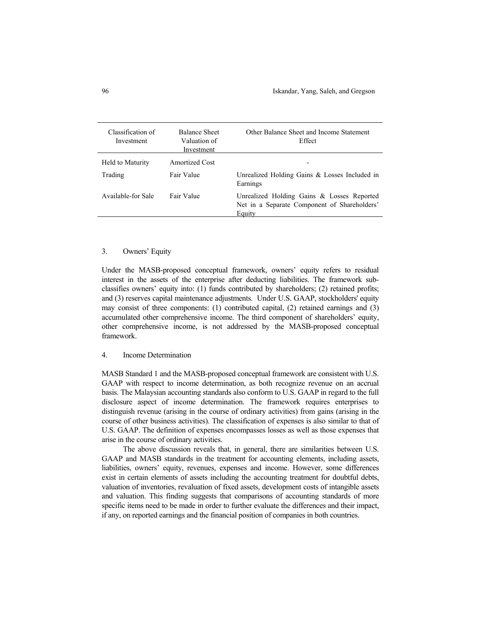| Classification of<br>Investment | <b>Balance Sheet</b><br>Valuation of<br>Investment | Other Balance Sheet and Income Statement<br>Effect                                                   |
|---------------------------------|----------------------------------------------------|------------------------------------------------------------------------------------------------------|
| Held to Maturity                | Amortized Cost                                     |                                                                                                      |
| Trading                         | Fair Value                                         | Unrealized Holding Gains & Losses Included in<br>Earnings                                            |
| Available-for Sale              | Fair Value                                         | Unrealized Holding Gains & Losses Reported<br>Net in a Separate Component of Shareholders'<br>Equity |

## 3. Owners' Equity

Under the MASB-proposed conceptual framework, owners' equity refers to residual interest in the assets of the enterprise after deducting liabilities. The framework subclassifies owners' equity into: (1) funds contributed by shareholders; (2) retained profits; and (3) reserves capital maintenance adjustments. Under U.S. GAAP, stockholders' equity may consist of three components: (1) contributed capital, (2) retained earnings and (3) accumulated other comprehensive income. The third component of shareholders' equity, other comprehensive income, is not addressed by the MASB-proposed conceptual framework.

# 4. Income Determination

MASB Standard 1 and the MASB-proposed conceptual framework are consistent with U.S. GAAP with respect to income determination, as both recognize revenue on an accrual basis. The Malaysian accounting standards also conform to U.S. GAAP in regard to the full disclosure aspect of income determination. The framework requires enterprises to distinguish revenue (arising in the course of ordinary activities) from gains (arising in the course of other business activities). The classification of expenses is also similar to that of U.S. GAAP. The definition of expenses encompasses losses as well as those expenses that arise in the course of ordinary activities.

The above discussion reveals that, in general, there are similarities between U.S. GAAP and MASB standards in the treatment for accounting elements, including assets, liabilities, owners' equity, revenues, expenses and income. However, some differences exist in certain elements of assets including the accounting treatment for doubtful debts, valuation of inventories, revaluation of fixed assets, development costs of intangible assets and valuation. This finding suggests that comparisons of accounting standards of more specific items need to be made in order to further evaluate the differences and their impact, if any, on reported earnings and the financial position of companies in both countries.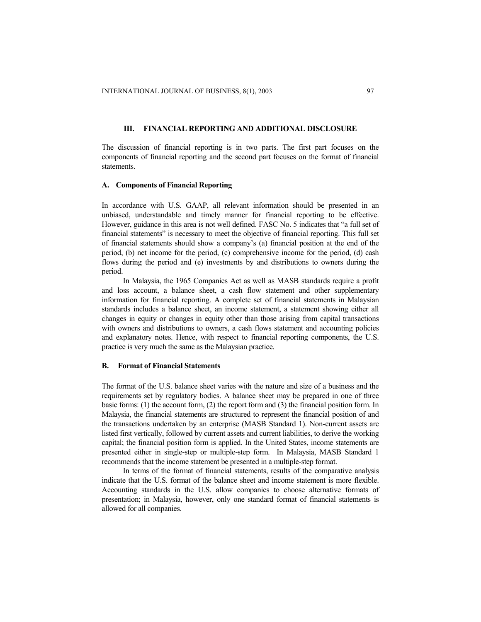# **III. FINANCIAL REPORTING AND ADDITIONAL DISCLOSURE**

The discussion of financial reporting is in two parts. The first part focuses on the components of financial reporting and the second part focuses on the format of financial statements.

#### **A. Components of Financial Reporting**

In accordance with U.S. GAAP, all relevant information should be presented in an unbiased, understandable and timely manner for financial reporting to be effective. However, guidance in this area is not well defined. FASC No. 5 indicates that "a full set of financial statements" is necessary to meet the objective of financial reporting. This full set of financial statements should show a company's (a) financial position at the end of the period, (b) net income for the period, (c) comprehensive income for the period, (d) cash flows during the period and (e) investments by and distributions to owners during the period.

In Malaysia, the 1965 Companies Act as well as MASB standards require a profit and loss account, a balance sheet, a cash flow statement and other supplementary information for financial reporting. A complete set of financial statements in Malaysian standards includes a balance sheet, an income statement, a statement showing either all changes in equity or changes in equity other than those arising from capital transactions with owners and distributions to owners, a cash flows statement and accounting policies and explanatory notes. Hence, with respect to financial reporting components, the U.S. practice is very much the same as the Malaysian practice.

#### **B. Format of Financial Statements**

The format of the U.S. balance sheet varies with the nature and size of a business and the requirements set by regulatory bodies. A balance sheet may be prepared in one of three basic forms: (1) the account form, (2) the report form and (3) the financial position form. In Malaysia, the financial statements are structured to represent the financial position of and the transactions undertaken by an enterprise (MASB Standard 1). Non-current assets are listed first vertically, followed by current assets and current liabilities, to derive the working capital; the financial position form is applied. In the United States, income statements are presented either in single-step or multiple-step form. In Malaysia, MASB Standard 1 recommends that the income statement be presented in a multiple-step format.

In terms of the format of financial statements, results of the comparative analysis indicate that the U.S. format of the balance sheet and income statement is more flexible. Accounting standards in the U.S. allow companies to choose alternative formats of presentation; in Malaysia, however, only one standard format of financial statements is allowed for all companies.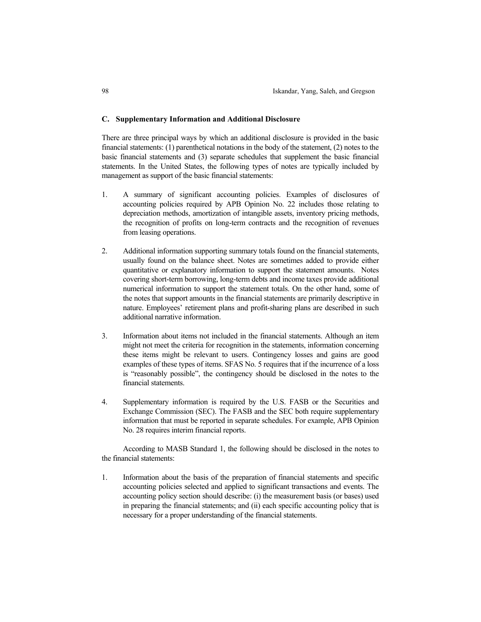#### **C. Supplementary Information and Additional Disclosure**

There are three principal ways by which an additional disclosure is provided in the basic financial statements: (1) parenthetical notations in the body of the statement, (2) notes to the basic financial statements and (3) separate schedules that supplement the basic financial statements. In the United States, the following types of notes are typically included by management as support of the basic financial statements:

- 1. A summary of significant accounting policies. Examples of disclosures of accounting policies required by APB Opinion No. 22 includes those relating to depreciation methods, amortization of intangible assets, inventory pricing methods, the recognition of profits on long-term contracts and the recognition of revenues from leasing operations.
- 2. Additional information supporting summary totals found on the financial statements, usually found on the balance sheet. Notes are sometimes added to provide either quantitative or explanatory information to support the statement amounts. Notes covering short-term borrowing, long-term debts and income taxes provide additional numerical information to support the statement totals. On the other hand, some of the notes that support amounts in the financial statements are primarily descriptive in nature. Employees' retirement plans and profit-sharing plans are described in such additional narrative information.
- 3. Information about items not included in the financial statements. Although an item might not meet the criteria for recognition in the statements, information concerning these items might be relevant to users. Contingency losses and gains are good examples of these types of items. SFAS No. 5 requires that if the incurrence of a loss is "reasonably possible", the contingency should be disclosed in the notes to the financial statements.
- 4. Supplementary information is required by the U.S. FASB or the Securities and Exchange Commission (SEC). The FASB and the SEC both require supplementary information that must be reported in separate schedules. For example, APB Opinion No. 28 requires interim financial reports.

According to MASB Standard 1, the following should be disclosed in the notes to the financial statements:

1. Information about the basis of the preparation of financial statements and specific accounting policies selected and applied to significant transactions and events. The accounting policy section should describe: (i) the measurement basis (or bases) used in preparing the financial statements; and (ii) each specific accounting policy that is necessary for a proper understanding of the financial statements.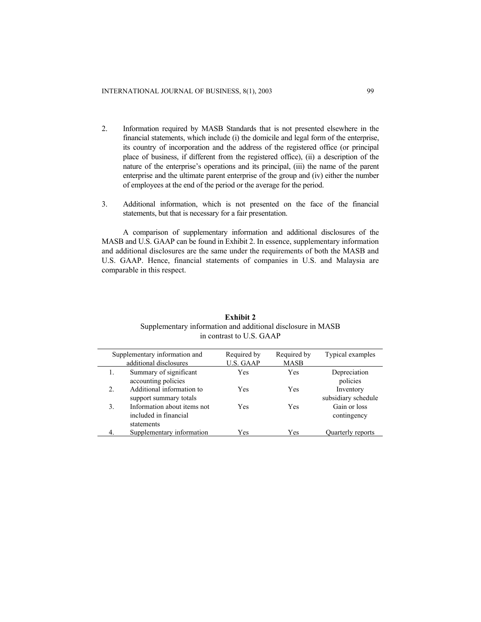- 2. Information required by MASB Standards that is not presented elsewhere in the financial statements, which include (i) the domicile and legal form of the enterprise, its country of incorporation and the address of the registered office (or principal place of business, if different from the registered office), (ii) a description of the nature of the enterprise's operations and its principal, (iii) the name of the parent enterprise and the ultimate parent enterprise of the group and (iv) either the number of employees at the end of the period or the average for the period.
- 3. Additional information, which is not presented on the face of the financial statements, but that is necessary for a fair presentation.

A comparison of supplementary information and additional disclosures of the MASB and U.S. GAAP can be found in Exhibit 2. In essence, supplementary information and additional disclosures are the same under the requirements of both the MASB and U.S. GAAP. Hence, financial statements of companies in U.S. and Malaysia are comparable in this respect.

| Supplementary information and |                             | Required by      | Required by | Typical examples    |
|-------------------------------|-----------------------------|------------------|-------------|---------------------|
| additional disclosures        |                             | <b>U.S. GAAP</b> | <b>MASB</b> |                     |
| 1.                            | Summary of significant      | Yes              | Yes         | Depreciation        |
|                               | accounting policies         |                  |             | policies            |
| $\overline{2}$ .              | Additional information to   | Yes              | Yes         | Inventory           |
|                               | support summary totals      |                  |             | subsidiary schedule |
| 3.                            | Information about items not | Yes              | Yes         | Gain or loss        |
|                               | included in financial       |                  |             | contingency         |
|                               | statements                  |                  |             |                     |
|                               | Supplementary information   | Yes              | Yes         | Quarterly reports   |

# **Exhibit 2**  Supplementary information and additional disclosure in MASB in contrast to U.S. GAAP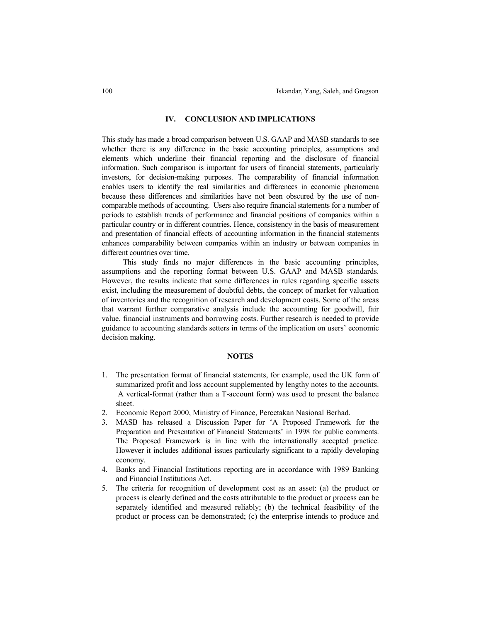#### **IV. CONCLUSION AND IMPLICATIONS**

This study has made a broad comparison between U.S. GAAP and MASB standards to see whether there is any difference in the basic accounting principles, assumptions and elements which underline their financial reporting and the disclosure of financial information. Such comparison is important for users of financial statements, particularly investors, for decision-making purposes. The comparability of financial information enables users to identify the real similarities and differences in economic phenomena because these differences and similarities have not been obscured by the use of noncomparable methods of accounting. Users also require financial statements for a number of periods to establish trends of performance and financial positions of companies within a particular country or in different countries. Hence, consistency in the basis of measurement and presentation of financial effects of accounting information in the financial statements enhances comparability between companies within an industry or between companies in different countries over time.

This study finds no major differences in the basic accounting principles, assumptions and the reporting format between U.S. GAAP and MASB standards. However, the results indicate that some differences in rules regarding specific assets exist, including the measurement of doubtful debts, the concept of market for valuation of inventories and the recognition of research and development costs. Some of the areas that warrant further comparative analysis include the accounting for goodwill, fair value, financial instruments and borrowing costs. Further research is needed to provide guidance to accounting standards setters in terms of the implication on users' economic decision making.

### **NOTES**

- 1. The presentation format of financial statements, for example, used the UK form of summarized profit and loss account supplemented by lengthy notes to the accounts. A vertical-format (rather than a T-account form) was used to present the balance sheet.
- 2. Economic Report 2000, Ministry of Finance, Percetakan Nasional Berhad.
- 3. MASB has released a Discussion Paper for 'A Proposed Framework for the Preparation and Presentation of Financial Statements' in 1998 for public comments. The Proposed Framework is in line with the internationally accepted practice. However it includes additional issues particularly significant to a rapidly developing economy.
- 4. Banks and Financial Institutions reporting are in accordance with 1989 Banking and Financial Institutions Act.
- 5. The criteria for recognition of development cost as an asset: (a) the product or process is clearly defined and the costs attributable to the product or process can be separately identified and measured reliably; (b) the technical feasibility of the product or process can be demonstrated; (c) the enterprise intends to produce and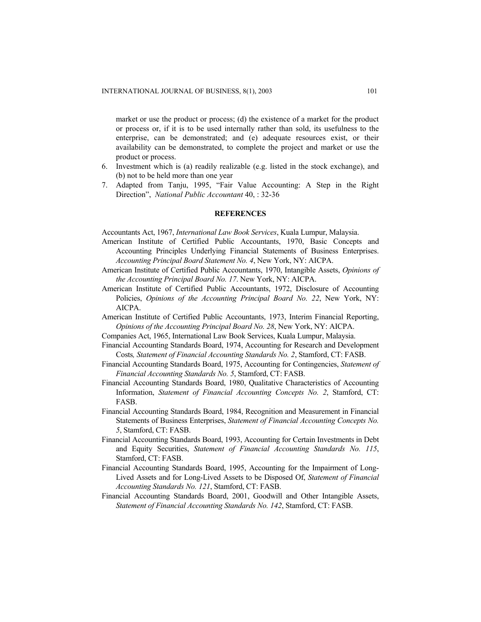market or use the product or process; (d) the existence of a market for the product or process or, if it is to be used internally rather than sold, its usefulness to the enterprise, can be demonstrated; and (e) adequate resources exist, or their availability can be demonstrated, to complete the project and market or use the product or process.

- 6. Investment which is (a) readily realizable (e.g. listed in the stock exchange), and (b) not to be held more than one year
- 7. Adapted from Tanju, 1995, "Fair Value Accounting: A Step in the Right Direction", *National Public Accountant* 40, : 32-36

## **REFERENCES**

Accountants Act, 1967, *International Law Book Services*, Kuala Lumpur, Malaysia.

- American Institute of Certified Public Accountants, 1970, Basic Concepts and Accounting Principles Underlying Financial Statements of Business Enterprises. *Accounting Principal Board Statement No. 4*, New York, NY: AICPA.
- American Institute of Certified Public Accountants, 1970, Intangible Assets, *Opinions of the Accounting Principal Board No. 17*. New York, NY: AICPA.
- American Institute of Certified Public Accountants, 1972, Disclosure of Accounting Policies, *Opinions of the Accounting Principal Board No. 22*, New York, NY: AICPA.
- American Institute of Certified Public Accountants, 1973, Interim Financial Reporting, *Opinions of the Accounting Principal Board No. 28*, New York, NY: AICPA.
- Companies Act, 1965, International Law Book Services, Kuala Lumpur, Malaysia.
- Financial Accounting Standards Board, 1974, Accounting for Research and Development Costs*, Statement of Financial Accounting Standards No. 2*, Stamford, CT: FASB.
- Financial Accounting Standards Board, 1975, Accounting for Contingencies, *Statement of Financial Accounting Standards No. 5*, Stamford, CT: FASB.
- Financial Accounting Standards Board, 1980, Qualitative Characteristics of Accounting Information, *Statement of Financial Accounting Concepts No. 2*, Stamford, CT: FASB.
- Financial Accounting Standards Board, 1984, Recognition and Measurement in Financial Statements of Business Enterprises, *Statement of Financial Accounting Concepts No. 5*, Stamford, CT: FASB.
- Financial Accounting Standards Board, 1993, Accounting for Certain Investments in Debt and Equity Securities, *Statement of Financial Accounting Standards No. 115*, Stamford, CT: FASB.
- Financial Accounting Standards Board, 1995, Accounting for the Impairment of Long-Lived Assets and for Long-Lived Assets to be Disposed Of, *Statement of Financial Accounting Standards No. 121*, Stamford, CT: FASB.
- Financial Accounting Standards Board, 2001, Goodwill and Other Intangible Assets, *Statement of Financial Accounting Standards No. 142*, Stamford, CT: FASB.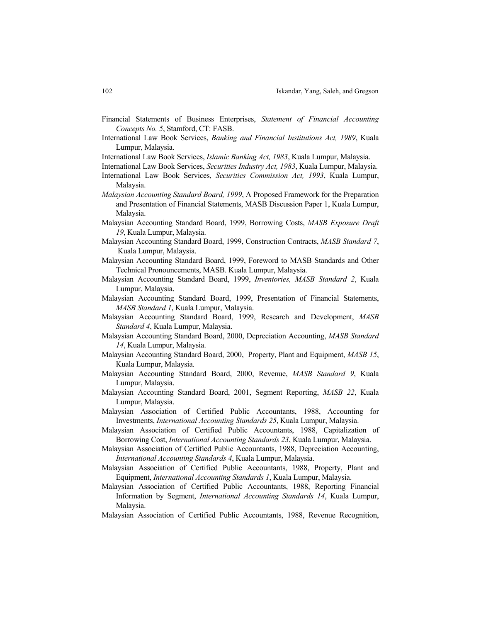- Financial Statements of Business Enterprises, *Statement of Financial Accounting Concepts No. 5*, Stamford, CT: FASB.
- International Law Book Services, *Banking and Financial Institutions Act, 1989*, Kuala Lumpur, Malaysia.

International Law Book Services, *Islamic Banking Act, 1983*, Kuala Lumpur, Malaysia.

- International Law Book Services, *Securities Industry Act, 1983*, Kuala Lumpur, Malaysia.
- International Law Book Services, *Securities Commission Act, 1993*, Kuala Lumpur, Malaysia.
- *Malaysian Accounting Standard Board, 1999*, A Proposed Framework for the Preparation and Presentation of Financial Statements, MASB Discussion Paper 1, Kuala Lumpur, Malaysia.
- Malaysian Accounting Standard Board, 1999, Borrowing Costs, *MASB Exposure Draft 19*, Kuala Lumpur, Malaysia.
- Malaysian Accounting Standard Board, 1999, Construction Contracts, *MASB Standard 7*, Kuala Lumpur, Malaysia.
- Malaysian Accounting Standard Board, 1999, Foreword to MASB Standards and Other Technical Pronouncements, MASB. Kuala Lumpur, Malaysia.
- Malaysian Accounting Standard Board, 1999, *Inventories, MASB Standard 2*, Kuala Lumpur, Malaysia.
- Malaysian Accounting Standard Board, 1999, Presentation of Financial Statements, *MASB Standard 1*, Kuala Lumpur, Malaysia.
- Malaysian Accounting Standard Board, 1999, Research and Development, *MASB Standard 4*, Kuala Lumpur, Malaysia.
- Malaysian Accounting Standard Board, 2000, Depreciation Accounting, *MASB Standard 14*, Kuala Lumpur, Malaysia.
- Malaysian Accounting Standard Board, 2000, Property, Plant and Equipment, *MASB 15*, Kuala Lumpur, Malaysia.
- Malaysian Accounting Standard Board, 2000, Revenue, *MASB Standard 9*, Kuala Lumpur, Malaysia.
- Malaysian Accounting Standard Board, 2001, Segment Reporting, *MASB 22*, Kuala Lumpur, Malaysia.
- Malaysian Association of Certified Public Accountants, 1988, Accounting for Investments, *International Accounting Standards 25*, Kuala Lumpur, Malaysia.
- Malaysian Association of Certified Public Accountants, 1988, Capitalization of Borrowing Cost, *International Accounting Standards 23*, Kuala Lumpur, Malaysia.
- Malaysian Association of Certified Public Accountants, 1988, Depreciation Accounting, *International Accounting Standards 4*, Kuala Lumpur, Malaysia.
- Malaysian Association of Certified Public Accountants, 1988, Property, Plant and Equipment, *International Accounting Standards 1*, Kuala Lumpur, Malaysia.
- Malaysian Association of Certified Public Accountants, 1988, Reporting Financial Information by Segment, *International Accounting Standards 14*, Kuala Lumpur, Malaysia.
- Malaysian Association of Certified Public Accountants, 1988, Revenue Recognition,